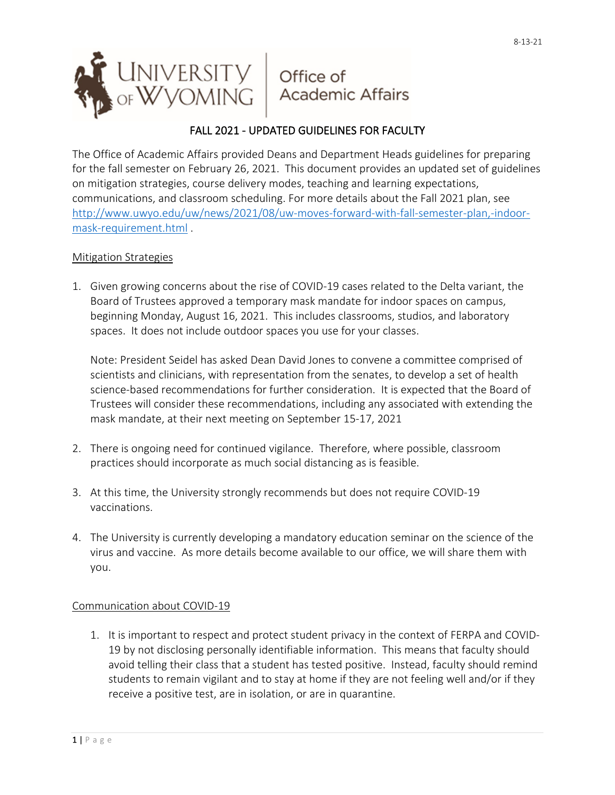

# FALL 2021 - UPDATED GUIDELINES FOR FACULTY

The Office of Academic Affairs provided Deans and Department Heads guidelines for preparing for the fall semester on February 26, 2021. This document provides an updated set of guidelines on mitigation strategies, course delivery modes, teaching and learning expectations, communications, and classroom scheduling. For more details about the Fall 2021 plan, see [http://www.uwyo.edu/uw/news/2021/08/uw-moves-forward-with-fall-semester-plan,-indoor](http://www.uwyo.edu/uw/news/2021/08/uw-moves-forward-with-fall-semester-plan,-indoor-mask-requirement.html)[mask-requirement.html](http://www.uwyo.edu/uw/news/2021/08/uw-moves-forward-with-fall-semester-plan,-indoor-mask-requirement.html) .

### Mitigation Strategies

1. Given growing concerns about the rise of COVID-19 cases related to the Delta variant, the Board of Trustees approved a temporary mask mandate for indoor spaces on campus, beginning Monday, August 16, 2021. This includes classrooms, studios, and laboratory spaces. It does not include outdoor spaces you use for your classes.

Note: President Seidel has asked Dean David Jones to convene a committee comprised of scientists and clinicians, with representation from the senates, to develop a set of health science-based recommendations for further consideration. It is expected that the Board of Trustees will consider these recommendations, including any associated with extending the mask mandate, at their next meeting on September 15-17, 2021

- 2. There is ongoing need for continued vigilance. Therefore, where possible, classroom practices should incorporate as much social distancing as is feasible.
- 3. At this time, the University strongly recommends but does not require COVID-19 vaccinations.
- 4. The University is currently developing a mandatory education seminar on the science of the virus and vaccine. As more details become available to our office, we will share them with you.

#### Communication about COVID-19

1. It is important to respect and protect student privacy in the context of FERPA and COVID-19 by not disclosing personally identifiable information. This means that faculty should avoid telling their class that a student has tested positive. Instead, faculty should remind students to remain vigilant and to stay at home if they are not feeling well and/or if they receive a positive test, are in isolation, or are in quarantine.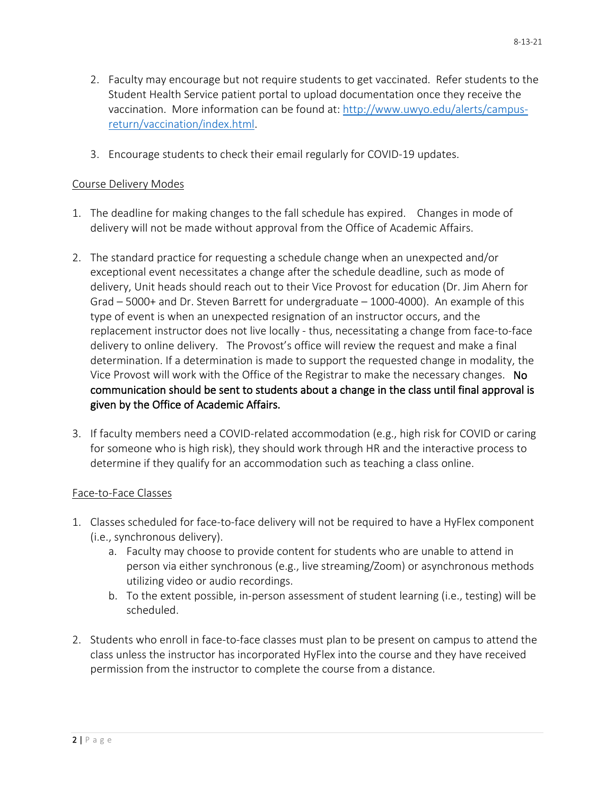- 2. Faculty may encourage but not require students to get vaccinated. Refer students to the Student Health Service patient portal to upload documentation once they receive the vaccination. More information can be found at: [http://www.uwyo.edu/alerts/campus](http://www.uwyo.edu/alerts/campus-return/vaccination/index.html)[return/vaccination/index.html.](http://www.uwyo.edu/alerts/campus-return/vaccination/index.html)
- 3. Encourage students to check their email regularly for COVID-19 updates.

#### Course Delivery Modes

- 1. The deadline for making changes to the fall schedule has expired. Changes in mode of delivery will not be made without approval from the Office of Academic Affairs.
- 2. The standard practice for requesting a schedule change when an unexpected and/or exceptional event necessitates a change after the schedule deadline, such as mode of delivery, Unit heads should reach out to their Vice Provost for education (Dr. Jim Ahern for Grad – 5000+ and Dr. Steven Barrett for undergraduate – 1000-4000). An example of this type of event is when an unexpected resignation of an instructor occurs, and the replacement instructor does not live locally - thus, necessitating a change from face-to-face delivery to online delivery. The Provost's office will review the request and make a final determination. If a determination is made to support the requested change in modality, the Vice Provost will work with the Office of the Registrar to make the necessary changes. No communication should be sent to students about a change in the class until final approval is given by the Office of Academic Affairs.
- 3. If faculty members need a COVID-related accommodation (e.g., high risk for COVID or caring for someone who is high risk), they should work through HR and the interactive process to determine if they qualify for an accommodation such as teaching a class online.

#### Face-to-Face Classes

- 1. Classes scheduled for face-to-face delivery will not be required to have a HyFlex component (i.e., synchronous delivery).
	- a. Faculty may choose to provide content for students who are unable to attend in person via either synchronous (e.g., live streaming/Zoom) or asynchronous methods utilizing video or audio recordings.
	- b. To the extent possible, in-person assessment of student learning (i.e., testing) will be scheduled.
- 2. Students who enroll in face-to-face classes must plan to be present on campus to attend the class unless the instructor has incorporated HyFlex into the course and they have received permission from the instructor to complete the course from a distance.